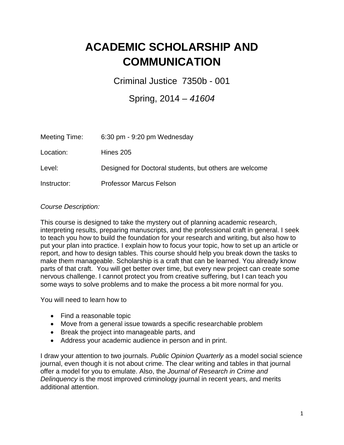## **ACADEMIC SCHOLARSHIP AND COMMUNICATION**

Criminal Justice 7350b - 001

## Spring, 2014 – *41604*

| Meeting Time: | 6:30 pm - 9:20 pm Wednesday                            |
|---------------|--------------------------------------------------------|
| Location:     | Hines 205                                              |
| Level:        | Designed for Doctoral students, but others are welcome |
| Instructor:   | <b>Professor Marcus Felson</b>                         |

## *Course Description:*

This course is designed to take the mystery out of planning academic research, interpreting results, preparing manuscripts, and the professional craft in general. I seek to teach you how to build the foundation for your research and writing, but also how to put your plan into practice. I explain how to focus your topic, how to set up an article or report, and how to design tables. This course should help you break down the tasks to make them manageable. Scholarship is a craft that can be learned. You already know parts of that craft. You will get better over time, but every new project can create some nervous challenge. I cannot protect you from creative suffering, but I can teach you some ways to solve problems and to make the process a bit more normal for you.

You will need to learn how to

- Find a reasonable topic
- Move from a general issue towards a specific researchable problem
- Break the project into manageable parts, and
- Address your academic audience in person and in print.

I draw your attention to two journals. *Public Opinion Quarterly* as a model social science journal, even though it is not about crime. The clear writing and tables in that journal offer a model for you to emulate. Also, the *Journal of Research in Crime and Delinquency* is the most improved criminology journal in recent years, and merits additional attention.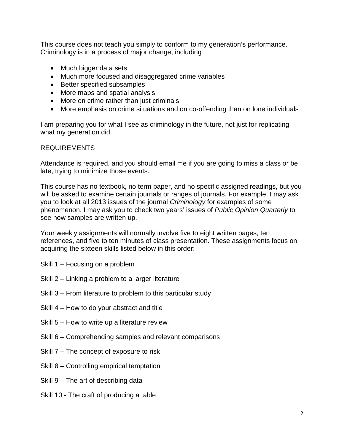This course does not teach you simply to conform to my generation's performance. Criminology is in a process of major change, including

- Much bigger data sets
- Much more focused and disaggregated crime variables
- Better specified subsamples
- More maps and spatial analysis
- More on crime rather than just criminals
- More emphasis on crime situations and on co-offending than on lone individuals

I am preparing you for what I see as criminology in the future, not just for replicating what my generation did.

## REQUIREMENTS

Attendance is required, and you should email me if you are going to miss a class or be late, trying to minimize those events.

This course has no textbook, no term paper, and no specific assigned readings, but you will be asked to examine certain journals or ranges of journals. For example, I may ask you to look at all 2013 issues of the journal *Criminology* for examples of some phenomenon. I may ask you to check two years' issues of *Public Opinion Quarterly* to see how samples are written up.

Your weekly assignments will normally involve five to eight written pages, ten references, and five to ten minutes of class presentation. These assignments focus on acquiring the sixteen skills listed below in this order:

- Skill 1 Focusing on a problem
- Skill 2 Linking a problem to a larger literature
- Skill 3 From literature to problem to this particular study
- Skill 4 How to do your abstract and title
- Skill 5 How to write up a literature review
- Skill 6 Comprehending samples and relevant comparisons
- Skill 7 The concept of exposure to risk
- Skill 8 Controlling empirical temptation
- Skill 9 The art of describing data
- Skill 10 The craft of producing a table